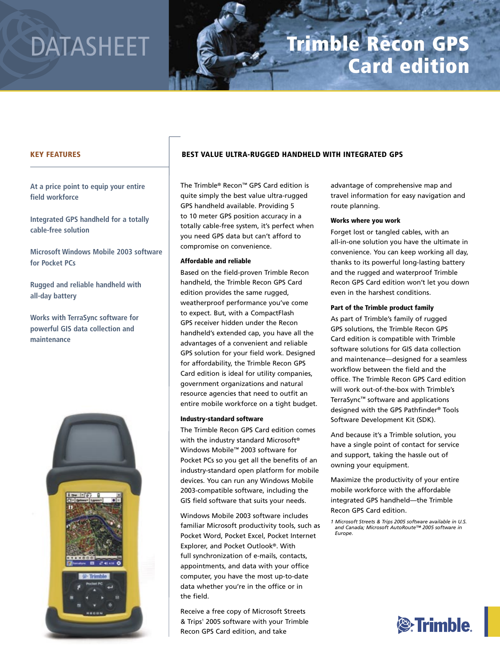# DATASHEET

# Trimble Recon GPS Card edition

# KEY FEATURES

**At a price point to equip your entire field workforce**

**Integrated GPS handheld for a totally cable-free solution**

**Microsoft Windows Mobile 2003 software for Pocket PCs**

**Rugged and reliable handheld with all-day battery**

**Works with TerraSync software for powerful GIS data collection and maintenance**



# BEST VALUE ULTRA-RUGGED HANDHELD WITH INTEGRATED GPS

The Trimble® Recon™ GPS Card edition is quite simply the best value ultra-rugged GPS handheld available. Providing 5 to 10 meter GPS position accuracy in a totally cable-free system, it's perfect when you need GPS data but can't afford to compromise on convenience.

### Affordable and reliable

Based on the field-proven Trimble Recon handheld, the Trimble Recon GPS Card edition provides the same rugged, weatherproof performance you've come to expect. But, with a CompactFlash GPS receiver hidden under the Recon handheld's extended cap, you have all the advantages of a convenient and reliable GPS solution for your field work. Designed for affordability, the Trimble Recon GPS Card edition is ideal for utility companies, government organizations and natural resource agencies that need to outfit an entire mobile workforce on a tight budget.

# Industry-standard software

The Trimble Recon GPS Card edition comes with the industry standard Microsoft® Windows Mobile™ 2003 software for Pocket PCs so you get all the benefits of an industry-standard open platform for mobile devices. You can run any Windows Mobile 2003-compatible software, including the GIS field software that suits your needs.

Windows Mobile 2003 software includes familiar Microsoft productivity tools, such as Pocket Word, Pocket Excel, Pocket Internet Explorer, and Pocket Outlook®. With full synchronization of e-mails, contacts, appointments, and data with your office computer, you have the most up-to-date data whether you're in the office or in the field.

Receive a free copy of Microsoft Streets & Trips<sup>1</sup> 2005 software with your Trimble Recon GPS Card edition, and take

advantage of comprehensive map and travel information for easy navigation and route planning.

#### Works where you work

Forget lost or tangled cables, with an all-in-one solution you have the ultimate in convenience. You can keep working all day, thanks to its powerful long-lasting battery and the rugged and waterproof Trimble Recon GPS Card edition won't let you down even in the harshest conditions.

#### Part of the Trimble product family

As part of Trimble's family of rugged GPS solutions, the Trimble Recon GPS Card edition is compatible with Trimble software solutions for GIS data collection and maintenance—designed for a seamless workflow between the field and the office. The Trimble Recon GPS Card edition will work out-of-the-box with Trimble's TerraSync™ software and applications designed with the GPS Pathfinder® Tools Software Development Kit (SDK).

And because it's a Trimble solution, you have a single point of contact for service and support, taking the hassle out of owning your equipment.

Maximize the productivity of your entire mobile workforce with the affordable integrated GPS handheld—the Trimble Recon GPS Card edition.



*<sup>1</sup> Microsoft Streets & Trips 2005 software available in U.S. and Canada; Microsoft AutoRoute™ 2005 software in Europe.*